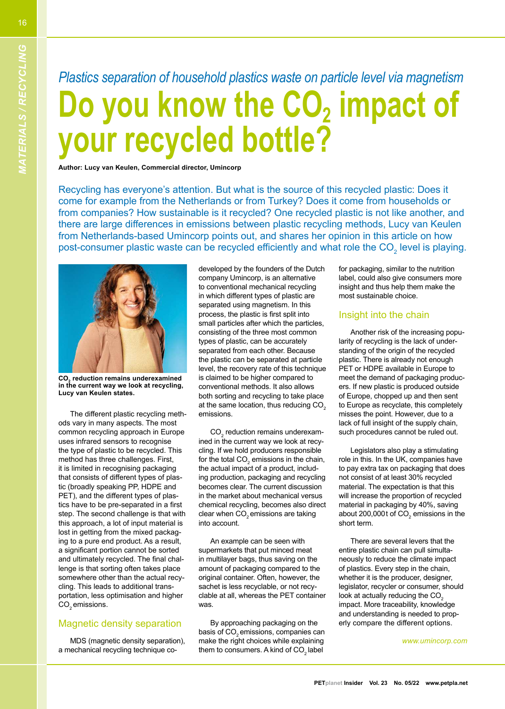16

## *Plastics separation of household plastics waste on particle level via magnetism* **Do you know the CO2 impact of your recycled bottle?**

**Author: Lucy van Keulen, Commercial director, Umincorp**

Recycling has everyone's attention. But what is the source of this recycled plastic: Does it come for example from the Netherlands or from Turkey? Does it come from households or from companies? How sustainable is it recycled? One recycled plastic is not like another, and there are large differences in emissions between plastic recycling methods, Lucy van Keulen from Netherlands-based Umincorp points out, and shares her opinion in this article on how post-consumer plastic waste can be recycled efficiently and what role the CO $_2^{\,}$  level is playing.



The different plastic recycling methods vary in many aspects. The most common recycling approach in Europe uses infrared sensors to recognise the type of plastic to be recycled. This method has three challenges. First, it is limited in recognising packaging that consists of different types of plastic (broadly speaking PP, HDPE and PET), and the different types of plastics have to be pre-separated in a first step. The second challenge is that with this approach, a lot of input material is lost in getting from the mixed packaging to a pure end product. As a result, a significant portion cannot be sorted and ultimately recycled. The final challenge is that sorting often takes place somewhere other than the actual recycling. This leads to additional transportation, less optimisation and higher CO<sub>2</sub> emissions. densigned by the fouries and the fouries and the business of the business of the business of the business of the business of the business of the business of the content of the anti-business of the time in the public of the

## Magnetic density separation

MDS (magnetic density separation), a mechanical recycling technique co-

developed by the founders of the Dutch<br>company Umincorp, is an alternative<br>to conventional mechanical recycling<br>in which different types of plastic are<br>separated using magnetism. In this<br>process, the plastic is first split emissions.<br>CO<sub>2</sub> reduction remains underexam-

 ined in the current way we look at recycling. If we hold producers responsible for the total CO<sub>2</sub> emissions in the chain, the actual impact of a product, including production, packaging and recycling

ing production, packaging and recycling<br>becomes clear. The current discussion<br>in the market about mechanical versus<br>chemical recycling, becomes also direct<br>clear when CO<sub>2</sub> emissions are taking<br>into account.<br>An example can clable at all, whereas the PET container